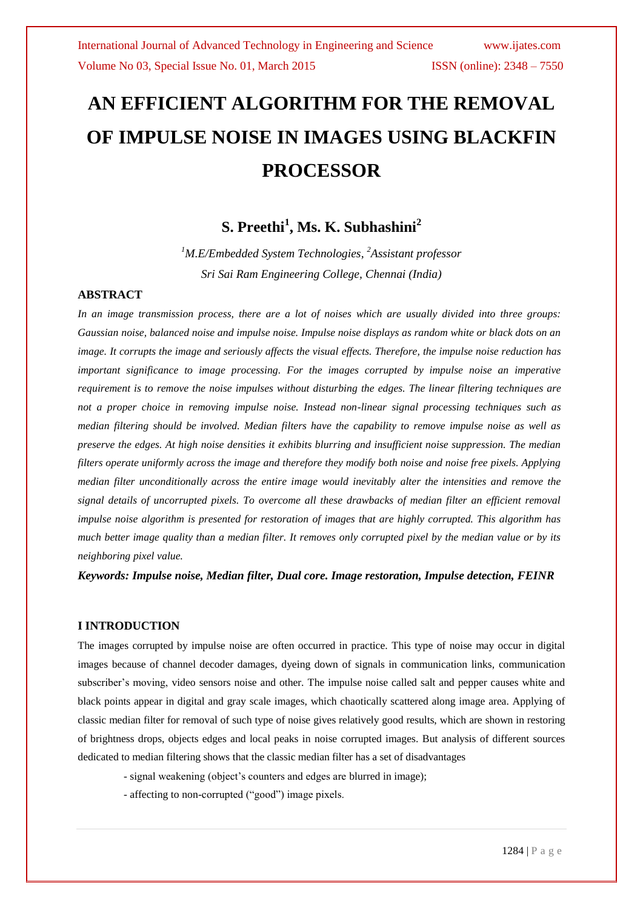# **AN EFFICIENT ALGORITHM FOR THE REMOVAL OF IMPULSE NOISE IN IMAGES USING BLACKFIN PROCESSOR**

### **S. Preethi<sup>1</sup> , Ms. K. Subhashini<sup>2</sup>**

*<sup>1</sup>M.E/Embedded System Technologies, <sup>2</sup>Assistant professor Sri Sai Ram Engineering College, Chennai (India)*

### **ABSTRACT**

*In an image transmission process, there are a lot of noises which are usually divided into three groups: Gaussian noise, balanced noise and impulse noise. Impulse noise displays as random white or black dots on an image. It corrupts the image and seriously affects the visual effects. Therefore, the impulse noise reduction has important significance to image processing. For the images corrupted by impulse noise an imperative requirement is to remove the noise impulses without disturbing the edges. The linear filtering techniques are not a proper choice in removing impulse noise. Instead non-linear signal processing techniques such as median filtering should be involved. Median filters have the capability to remove impulse noise as well as preserve the edges. At high noise densities it exhibits blurring and insufficient noise suppression. The median filters operate uniformly across the image and therefore they modify both noise and noise free pixels. Applying median filter unconditionally across the entire image would inevitably alter the intensities and remove the signal details of uncorrupted pixels. To overcome all these drawbacks of median filter an efficient removal impulse noise algorithm is presented for restoration of images that are highly corrupted. This algorithm has much better image quality than a median filter. It removes only corrupted pixel by the median value or by its neighboring pixel value.*

*Keywords: Impulse noise, Median filter, Dual core. Image restoration, Impulse detection, FEINR*

### **I INTRODUCTION**

The images corrupted by impulse noise are often occurred in practice. This type of noise may occur in digital images because of channel decoder damages, dyeing down of signals in communication links, communication subscriber's moving, video sensors noise and other. The impulse noise called salt and pepper causes white and black points appear in digital and gray scale images, which chaotically scattered along image area. Applying of classic median filter for removal of such type of noise gives relatively good results, which are shown in restoring of brightness drops, objects edges and local peaks in noise corrupted images. But analysis of different sources dedicated to median filtering shows that the classic median filter has a set of disadvantages

- signal weakening (object's counters and edges are blurred in image);
- affecting to non-corrupted ("good") image pixels.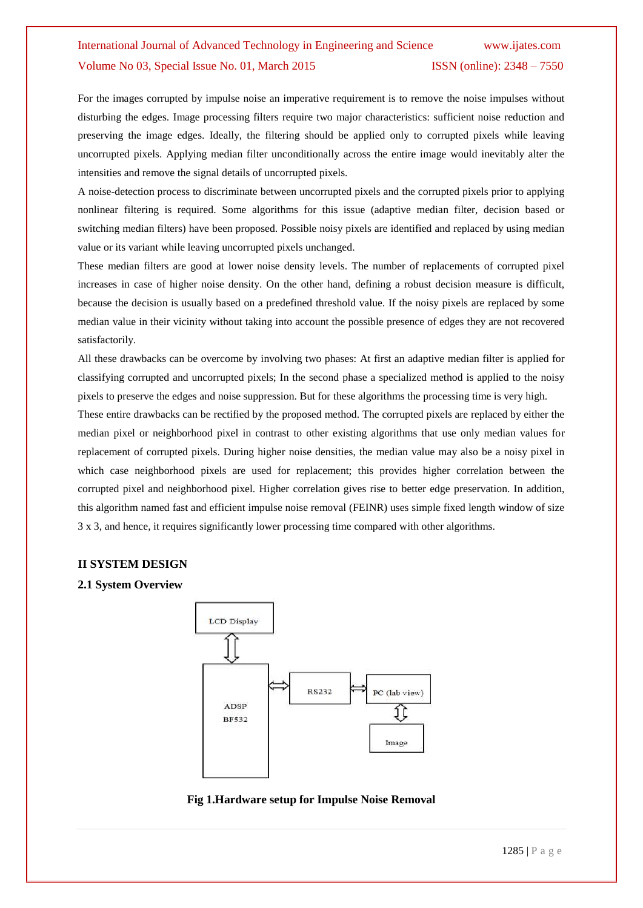For the images corrupted by impulse noise an imperative requirement is to remove the noise impulses without disturbing the edges. Image processing filters require two major characteristics: sufficient noise reduction and preserving the image edges. Ideally, the filtering should be applied only to corrupted pixels while leaving uncorrupted pixels. Applying median filter unconditionally across the entire image would inevitably alter the intensities and remove the signal details of uncorrupted pixels.

A noise-detection process to discriminate between uncorrupted pixels and the corrupted pixels prior to applying nonlinear filtering is required. Some algorithms for this issue (adaptive median filter, decision based or switching median filters) have been proposed. Possible noisy pixels are identified and replaced by using median value or its variant while leaving uncorrupted pixels unchanged.

These median filters are good at lower noise density levels. The number of replacements of corrupted pixel increases in case of higher noise density. On the other hand, defining a robust decision measure is difficult, because the decision is usually based on a predefined threshold value. If the noisy pixels are replaced by some median value in their vicinity without taking into account the possible presence of edges they are not recovered satisfactorily.

All these drawbacks can be overcome by involving two phases: At first an adaptive median filter is applied for classifying corrupted and uncorrupted pixels; In the second phase a specialized method is applied to the noisy pixels to preserve the edges and noise suppression. But for these algorithms the processing time is very high.

These entire drawbacks can be rectified by the proposed method. The corrupted pixels are replaced by either the median pixel or neighborhood pixel in contrast to other existing algorithms that use only median values for replacement of corrupted pixels. During higher noise densities, the median value may also be a noisy pixel in which case neighborhood pixels are used for replacement; this provides higher correlation between the corrupted pixel and neighborhood pixel. Higher correlation gives rise to better edge preservation. In addition, this algorithm named fast and efficient impulse noise removal (FEINR) uses simple fixed length window of size 3 x 3, and hence, it requires significantly lower processing time compared with other algorithms.

#### **II SYSTEM DESIGN**

#### **2.1 System Overview**



**Fig 1.Hardware setup for Impulse Noise Removal**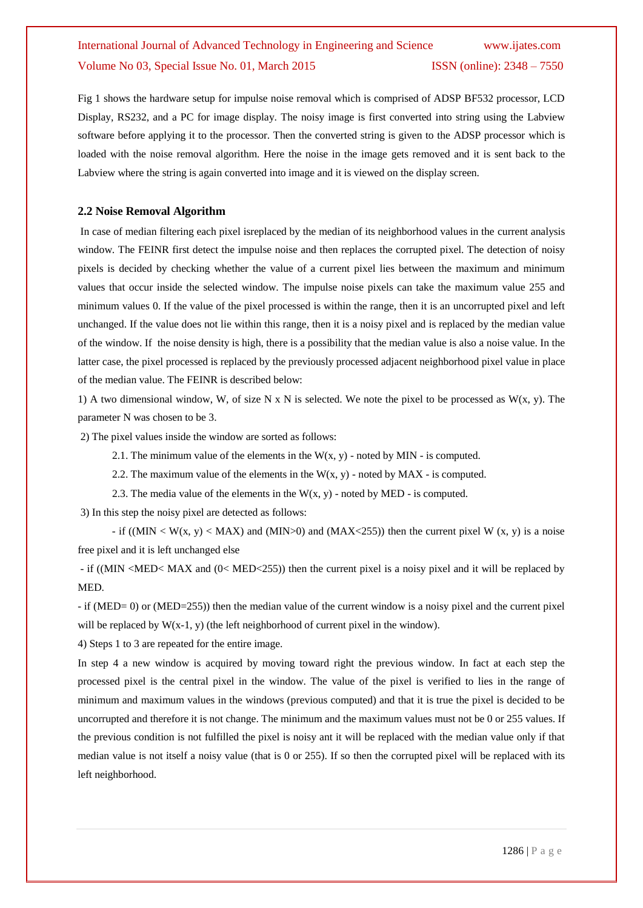Fig 1 shows the hardware setup for impulse noise removal which is comprised of ADSP BF532 processor, LCD Display, RS232, and a PC for image display. The noisy image is first converted into string using the Labview software before applying it to the processor. Then the converted string is given to the ADSP processor which is loaded with the noise removal algorithm. Here the noise in the image gets removed and it is sent back to the Labview where the string is again converted into image and it is viewed on the display screen.

### **2.2 Noise Removal Algorithm**

In case of median filtering each pixel isreplaced by the median of its neighborhood values in the current analysis window. The FEINR first detect the impulse noise and then replaces the corrupted pixel. The detection of noisy pixels is decided by checking whether the value of a current pixel lies between the maximum and minimum values that occur inside the selected window. The impulse noise pixels can take the maximum value 255 and minimum values 0. If the value of the pixel processed is within the range, then it is an uncorrupted pixel and left unchanged. If the value does not lie within this range, then it is a noisy pixel and is replaced by the median value of the window. If the noise density is high, there is a possibility that the median value is also a noise value. In the latter case, the pixel processed is replaced by the previously processed adjacent neighborhood pixel value in place of the median value. The FEINR is described below:

1) A two dimensional window, W, of size N x N is selected. We note the pixel to be processed as  $W(x, y)$ . The parameter N was chosen to be 3.

2) The pixel values inside the window are sorted as follows:

2.1. The minimum value of the elements in the  $W(x, y)$  - noted by MIN - is computed.

2.2. The maximum value of the elements in the  $W(x, y)$  - noted by MAX - is computed.

2.3. The media value of the elements in the  $W(x, y)$  - noted by MED - is computed.

3) In this step the noisy pixel are detected as follows:

- if ((MIN  $\lt W(x, y) \lt MAX$ ) and (MIN  $\gt 0$ ) and (MAX $\lt 255$ )) then the current pixel W (x, y) is a noise free pixel and it is left unchanged else

- if ((MIN <MED< MAX and (0< MED<255)) then the current pixel is a noisy pixel and it will be replaced by MED.

- if (MED= 0) or (MED=255)) then the median value of the current window is a noisy pixel and the current pixel will be replaced by  $W(x-1, y)$  (the left neighborhood of current pixel in the window).

4) Steps 1 to 3 are repeated for the entire image.

In step 4 a new window is acquired by moving toward right the previous window. In fact at each step the processed pixel is the central pixel in the window. The value of the pixel is verified to lies in the range of minimum and maximum values in the windows (previous computed) and that it is true the pixel is decided to be uncorrupted and therefore it is not change. The minimum and the maximum values must not be 0 or 255 values. If the previous condition is not fulfilled the pixel is noisy ant it will be replaced with the median value only if that median value is not itself a noisy value (that is 0 or 255). If so then the corrupted pixel will be replaced with its left neighborhood.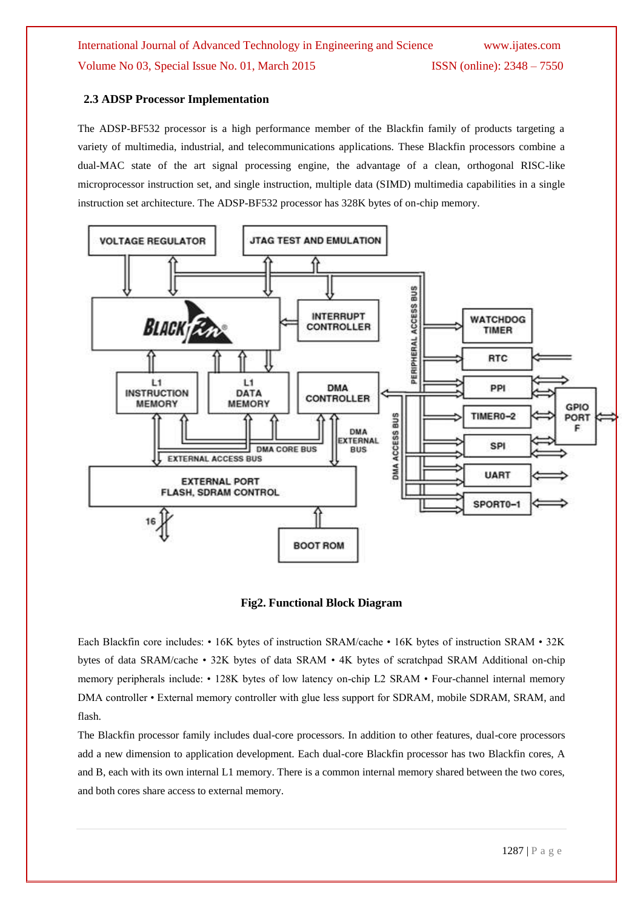### **2.3 ADSP Processor Implementation**

The ADSP-BF532 processor is a high performance member of the Blackfin family of products targeting a variety of multimedia, industrial, and telecommunications applications. These Blackfin processors combine a dual-MAC state of the art signal processing engine, the advantage of a clean, orthogonal RISC-like microprocessor instruction set, and single instruction, multiple data (SIMD) multimedia capabilities in a single instruction set architecture. The ADSP-BF532 processor has 328K bytes of on-chip memory.



#### **Fig2. Functional Block Diagram**

Each Blackfin core includes: • 16K bytes of instruction SRAM/cache • 16K bytes of instruction SRAM • 32K bytes of data SRAM/cache • 32K bytes of data SRAM • 4K bytes of scratchpad SRAM Additional on-chip memory peripherals include: • 128K bytes of low latency on-chip L2 SRAM • Four-channel internal memory DMA controller • External memory controller with glue less support for SDRAM, mobile SDRAM, SRAM, and flash.

The Blackfin processor family includes dual-core processors. In addition to other features, dual-core processors add a new dimension to application development. Each dual-core Blackfin processor has two Blackfin cores, A and B, each with its own internal L1 memory. There is a common internal memory shared between the two cores, and both cores share access to external memory.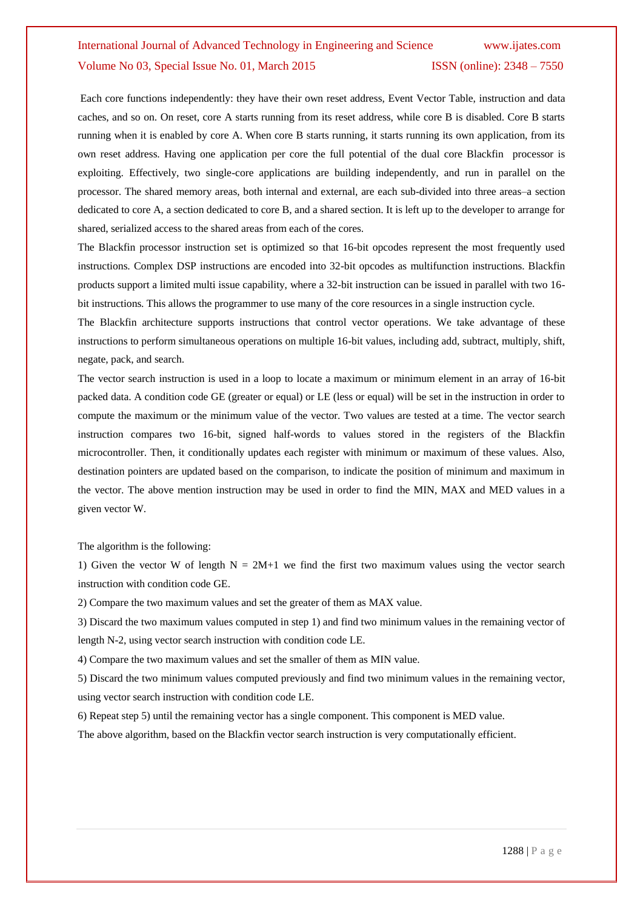Each core functions independently: they have their own reset address, Event Vector Table, instruction and data caches, and so on. On reset, core A starts running from its reset address, while core B is disabled. Core B starts running when it is enabled by core A. When core B starts running, it starts running its own application, from its own reset address. Having one application per core the full potential of the dual core Blackfin processor is exploiting. Effectively, two single-core applications are building independently, and run in parallel on the processor. The shared memory areas, both internal and external, are each sub-divided into three areas–a section dedicated to core A, a section dedicated to core B, and a shared section. It is left up to the developer to arrange for shared, serialized access to the shared areas from each of the cores.

The Blackfin processor instruction set is optimized so that 16-bit opcodes represent the most frequently used instructions. Complex DSP instructions are encoded into 32-bit opcodes as multifunction instructions. Blackfin products support a limited multi issue capability, where a 32-bit instruction can be issued in parallel with two 16 bit instructions. This allows the programmer to use many of the core resources in a single instruction cycle.

The Blackfin architecture supports instructions that control vector operations. We take advantage of these instructions to perform simultaneous operations on multiple 16-bit values, including add, subtract, multiply, shift, negate, pack, and search.

The vector search instruction is used in a loop to locate a maximum or minimum element in an array of 16-bit packed data. A condition code GE (greater or equal) or LE (less or equal) will be set in the instruction in order to compute the maximum or the minimum value of the vector. Two values are tested at a time. The vector search instruction compares two 16-bit, signed half-words to values stored in the registers of the Blackfin microcontroller. Then, it conditionally updates each register with minimum or maximum of these values. Also, destination pointers are updated based on the comparison, to indicate the position of minimum and maximum in the vector. The above mention instruction may be used in order to find the MIN, MAX and MED values in a given vector W.

The algorithm is the following:

1) Given the vector W of length  $N = 2M+1$  we find the first two maximum values using the vector search instruction with condition code GE.

2) Compare the two maximum values and set the greater of them as MAX value.

3) Discard the two maximum values computed in step 1) and find two minimum values in the remaining vector of length N-2, using vector search instruction with condition code LE.

4) Compare the two maximum values and set the smaller of them as MIN value.

5) Discard the two minimum values computed previously and find two minimum values in the remaining vector, using vector search instruction with condition code LE.

6) Repeat step 5) until the remaining vector has a single component. This component is MED value.

The above algorithm, based on the Blackfin vector search instruction is very computationally efficient.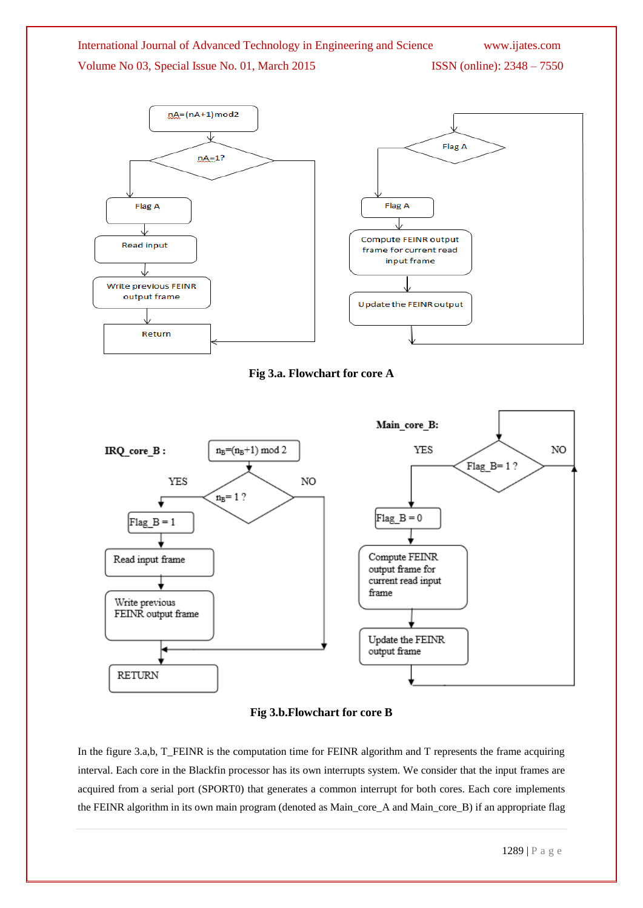

### **Fig 3.b.Flowchart for core B**

In the figure 3.a,b, T\_FEINR is the computation time for FEINR algorithm and T represents the frame acquiring interval. Each core in the Blackfin processor has its own interrupts system. We consider that the input frames are acquired from a serial port (SPORT0) that generates a common interrupt for both cores. Each core implements the FEINR algorithm in its own main program (denoted as Main\_core\_A and Main\_core\_B) if an appropriate flag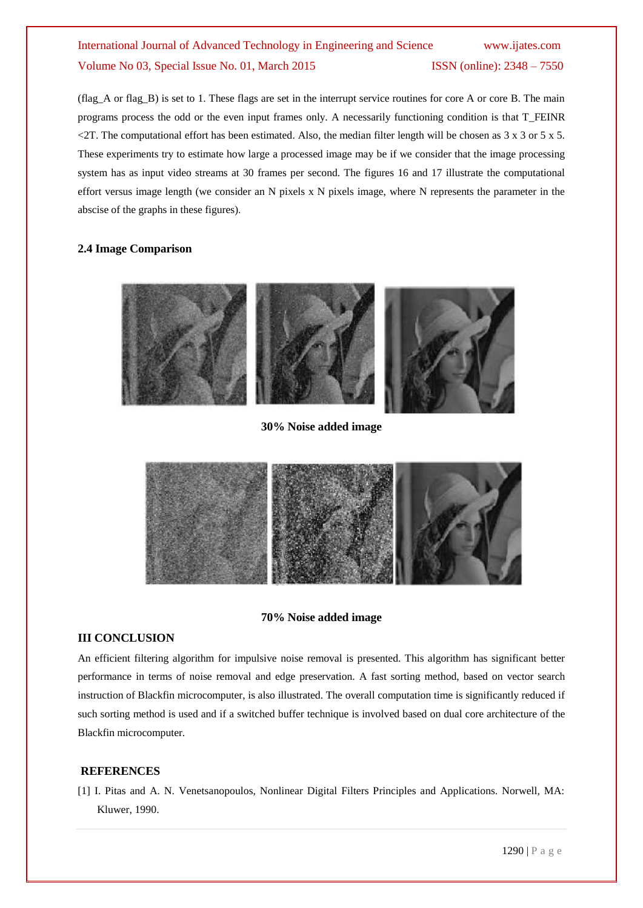(flag\_A or flag\_B) is set to 1. These flags are set in the interrupt service routines for core A or core B. The main programs process the odd or the even input frames only. A necessarily functioning condition is that T\_FEINR  $\leq$ 2T. The computational effort has been estimated. Also, the median filter length will be chosen as 3 x 3 or 5 x 5. These experiments try to estimate how large a processed image may be if we consider that the image processing system has as input video streams at 30 frames per second. The figures 16 and 17 illustrate the computational effort versus image length (we consider an N pixels x N pixels image, where N represents the parameter in the abscise of the graphs in these figures).

### **2.4 Image Comparison**



#### **30% Noise added image**



#### **70% Noise added image**

#### **III CONCLUSION**

An efficient filtering algorithm for impulsive noise removal is presented. This algorithm has significant better performance in terms of noise removal and edge preservation. A fast sorting method, based on vector search instruction of Blackfin microcomputer, is also illustrated. The overall computation time is significantly reduced if such sorting method is used and if a switched buffer technique is involved based on dual core architecture of the Blackfin microcomputer.

#### **REFERENCES**

[1] I. Pitas and A. N. Venetsanopoulos, Nonlinear Digital Filters Principles and Applications. Norwell, MA: Kluwer, 1990.